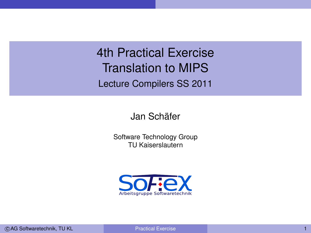4th Practical Exercise Translation to MIPS Lecture Compilers SS 2011

Jan Schäfer

Software Technology Group TU Kaiserslautern

<span id="page-0-0"></span>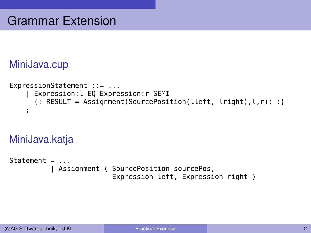```
MiniJava.cup
```

```
ExpressionStatement ::= ...
     | Expression:l EQ Expression:r SEMI
       \{:\text{RESULT} = \text{Assignment}(SourcePosition(lleft, Iright), l, r); : \};
```

```
MiniJava.katja
```

```
Statement = ...Assignment ( SourcePosition sourcePos,
                         Expression left, Expression right )
```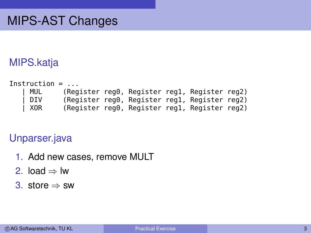# MIPS-AST Changes

### MIPS.katja

 $Instruction = . . .$ | MUL (Register reg0, Register reg1, Register reg2) DIV (Register reg0, Register reg1, Register reg2) | XOR (Register reg0, Register reg1, Register reg2)

#### Unparser.java

- 1. Add new cases, remove MULT
- 2. load ⇒ lw
- 3. store  $\Rightarrow$  sw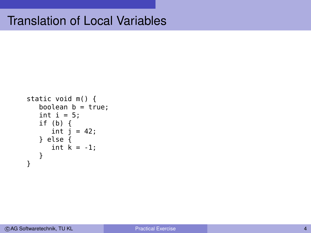```
static void m() {
   boolean b = true;
  int i = 5;
  if (b) {
      int i = 42;
  } else {
     int k = -1;
   }
}
```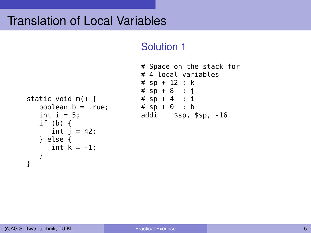## Translation of Local Variables

#### Solution 1

```
static void m() {
   boolean b = true;
  int i = 5;
  if (b) {
      int i = 42;
   } else {
     int k = -1;
   }
}
```

```
# Space on the stack for
# 4 local variables
# sp + 12 : k
# sp + 8 : j# sp + 4 : i# sp + 0 : baddi $sp, $sp, -16
```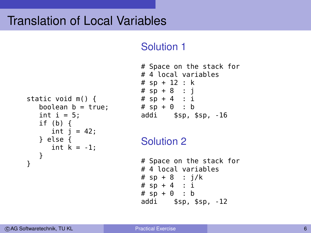# Translation of Local Variables

#### Solution 1

```
static void m() {
   boolean b = true;
   int i = 5:
  if (b) {
      int i = 42;
   } else {
      int k = -1;
   }
}
```

```
# Space on the stack for
# 4 local variables
# sp + 12 : k
# sp + 8 : j# sp + 4 : i# sp + 0 : baddi $sp, $sp, -16
```
#### Solution 2

```
# Space on the stack for
# 4 local variables
# sp + 8 : i/k# sp + 4 : i# sp + 0 : baddi $sp, $sp, -12
```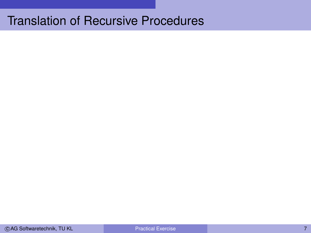## Translation of Recursive Procedures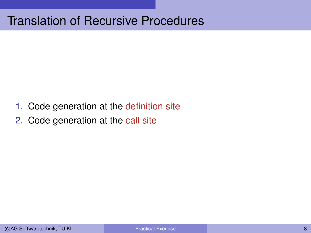## Translation of Recursive Procedures

- 1. Code generation at the definition site
- 2. Code generation at the call site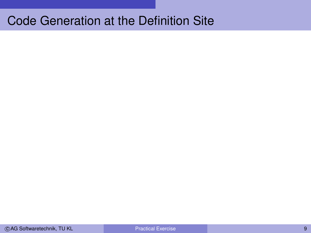## Code Generation at the Definition Site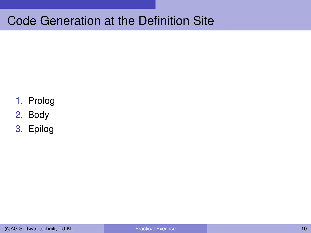# Code Generation at the Definition Site

- 1. Prolog
- 2. Body
- 3. Epilog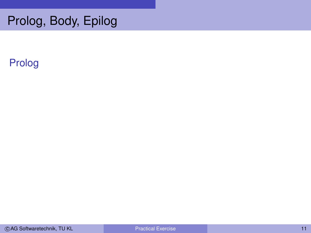# Prolog, Body, Epilog

### Prolog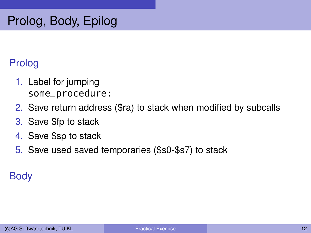# Prolog, Body, Epilog

### Prolog

- 1. Label for jumping some\_procedure:
- 2. Save return address (\$ra) to stack when modified by subcalls
- 3. Save \$fp to stack
- 4. Save \$sp to stack
- 5. Save used saved temporaries (\$s0-\$s7) to stack

### Body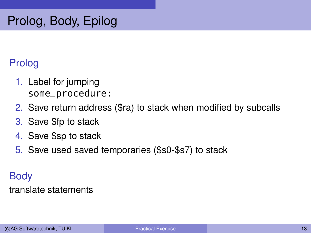# Prolog, Body, Epilog

### Prolog

- 1. Label for jumping some\_procedure:
- 2. Save return address (\$ra) to stack when modified by subcalls
- 3. Save \$fp to stack
- 4. Save \$sp to stack
- 5. Save used saved temporaries (\$s0-\$s7) to stack

#### Body

#### translate statements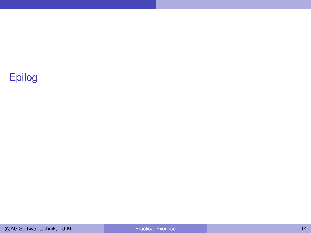## Epilog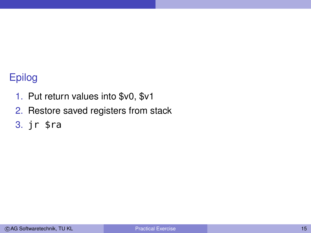### Epilog

- 1. Put return values into \$v0, \$v1
- 2. Restore saved registers from stack
- 3. jr \$ra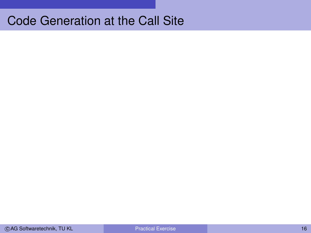# Code Generation at the Call Site